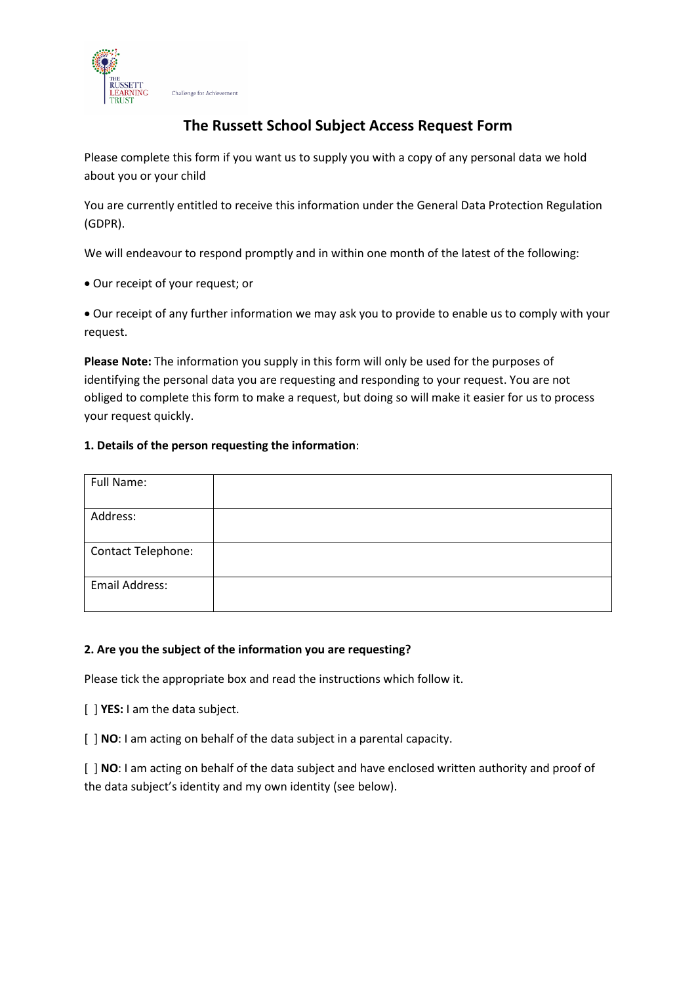

# **The Russett School Subject Access Request Form**

Please complete this form if you want us to supply you with a copy of any personal data we hold about you or your child

You are currently entitled to receive this information under the General Data Protection Regulation (GDPR).

We will endeavour to respond promptly and in within one month of the latest of the following:

Our receipt of your request; or

 Our receipt of any further information we may ask you to provide to enable us to comply with your request.

**Please Note:** The information you supply in this form will only be used for the purposes of identifying the personal data you are requesting and responding to your request. You are not obliged to complete this form to make a request, but doing so will make it easier for us to process your request quickly.

#### **1. Details of the person requesting the information**:

| Full Name:         |  |
|--------------------|--|
| Address:           |  |
| Contact Telephone: |  |
| Email Address:     |  |

#### **2. Are you the subject of the information you are requesting?**

Please tick the appropriate box and read the instructions which follow it.

[ ] **YES:** I am the data subject.

[ ] **NO**: I am acting on behalf of the data subject in a parental capacity.

[ ] **NO**: I am acting on behalf of the data subject and have enclosed written authority and proof of the data subject's identity and my own identity (see below).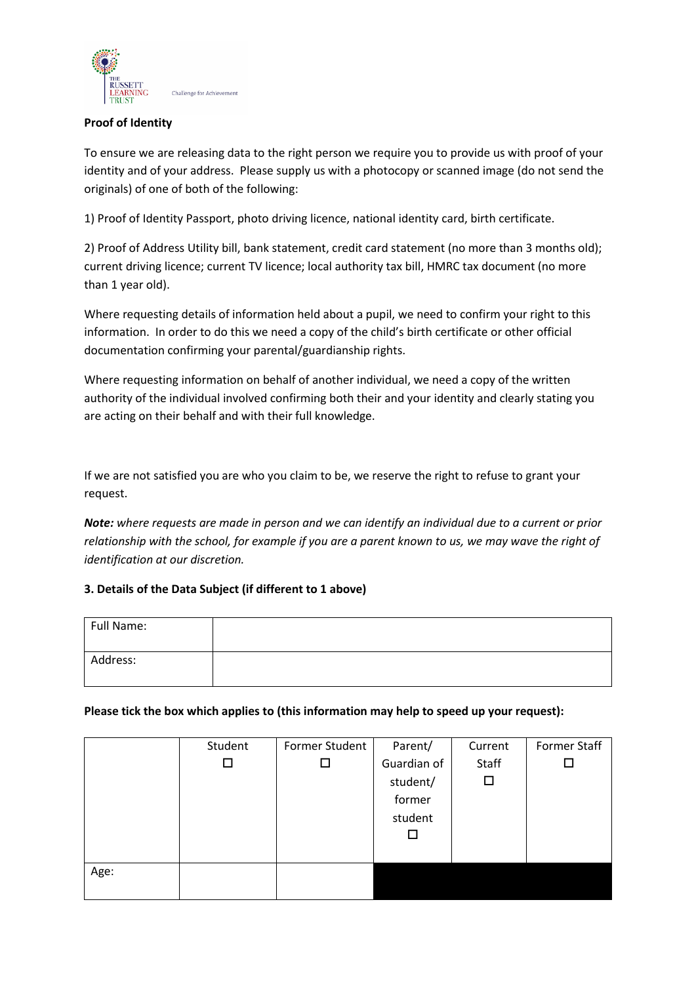

### **Proof of Identity**

To ensure we are releasing data to the right person we require you to provide us with proof of your identity and of your address. Please supply us with a photocopy or scanned image (do not send the originals) of one of both of the following:

1) Proof of Identity Passport, photo driving licence, national identity card, birth certificate.

2) Proof of Address Utility bill, bank statement, credit card statement (no more than 3 months old); current driving licence; current TV licence; local authority tax bill, HMRC tax document (no more than 1 year old).

Where requesting details of information held about a pupil, we need to confirm your right to this information. In order to do this we need a copy of the child's birth certificate or other official documentation confirming your parental/guardianship rights.

Where requesting information on behalf of another individual, we need a copy of the written authority of the individual involved confirming both their and your identity and clearly stating you are acting on their behalf and with their full knowledge.

If we are not satisfied you are who you claim to be, we reserve the right to refuse to grant your request.

*Note: where requests are made in person and we can identify an individual due to a current or prior relationship with the school, for example if you are a parent known to us, we may wave the right of identification at our discretion.*

# **3. Details of the Data Subject (if different to 1 above)**

| Full Name: |  |
|------------|--|
| Address:   |  |

#### **Please tick the box which applies to (this information may help to speed up your request):**

|      | Student | Former Student | Parent/     | Current | <b>Former Staff</b> |
|------|---------|----------------|-------------|---------|---------------------|
|      | $\Box$  | ப              | Guardian of | Staff   |                     |
|      |         |                | student/    | □       |                     |
|      |         |                | former      |         |                     |
|      |         |                | student     |         |                     |
|      |         |                | ⊏           |         |                     |
|      |         |                |             |         |                     |
| Age: |         |                |             |         |                     |
|      |         |                |             |         |                     |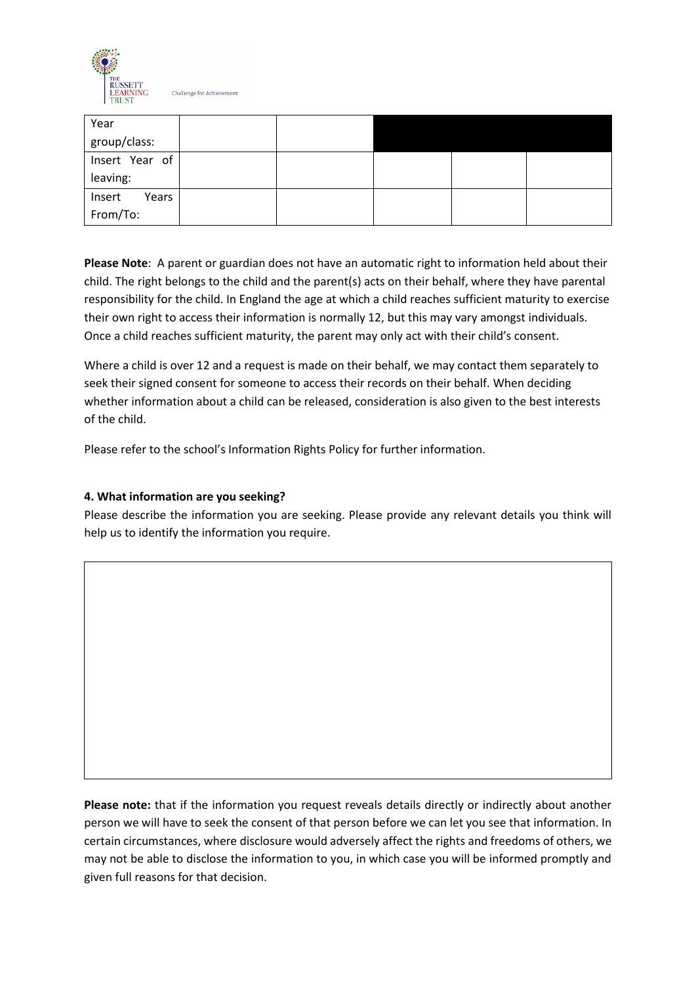

Challenge for Achievemen

| Year            |  |  |  |
|-----------------|--|--|--|
| group/class:    |  |  |  |
| Insert Year of  |  |  |  |
| leaving:        |  |  |  |
| Insert<br>Years |  |  |  |
| From/To:        |  |  |  |

**Please Note**: A parent or guardian does not have an automatic right to information held about their child. The right belongs to the child and the parent(s) acts on their behalf, where they have parental responsibility for the child. In England the age at which a child reaches sufficient maturity to exercise their own right to access their information is normally 12, but this may vary amongst individuals. Once a child reaches sufficient maturity, the parent may only act with their child's consent.

Where a child is over 12 and a request is made on their behalf, we may contact them separately to seek their signed consent for someone to access their records on their behalf. When deciding whether information about a child can be released, consideration is also given to the best interests of the child.

Please refer to the school's Information Rights Policy for further information.

# **4. What information are you seeking?**

Please describe the information you are seeking. Please provide any relevant details you think will help us to identify the information you require.

**Please note:** that if the information you request reveals details directly or indirectly about another person we will have to seek the consent of that person before we can let you see that information. In certain circumstances, where disclosure would adversely affect the rights and freedoms of others, we may not be able to disclose the information to you, in which case you will be informed promptly and given full reasons for that decision.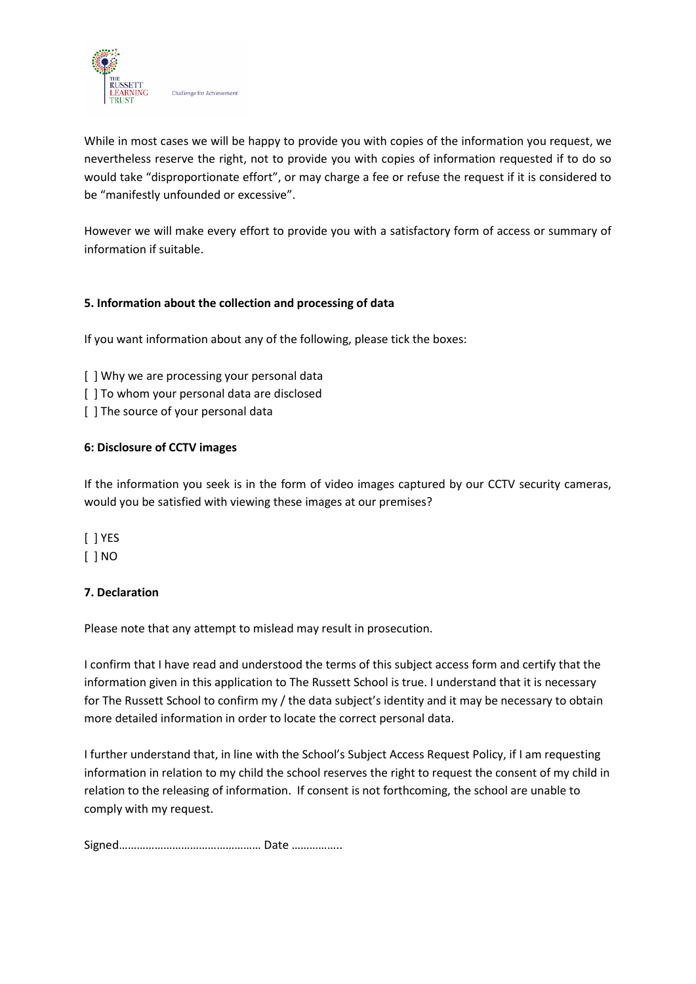

While in most cases we will be happy to provide you with copies of the information you request, we nevertheless reserve the right, not to provide you with copies of information requested if to do so would take "disproportionate effort", or may charge a fee or refuse the request if it is considered to be "manifestly unfounded or excessive".

However we will make every effort to provide you with a satisfactory form of access or summary of information if suitable.

# **5. Information about the collection and processing of data**

If you want information about any of the following, please tick the boxes:

- [ ] Why we are processing your personal data
- [] To whom your personal data are disclosed
- [] The source of your personal data

# **6: Disclosure of CCTV images**

If the information you seek is in the form of video images captured by our CCTV security cameras, would you be satisfied with viewing these images at our premises?

[ ] YES

[ ] NO

# **7. Declaration**

Please note that any attempt to mislead may result in prosecution.

I confirm that I have read and understood the terms of this subject access form and certify that the information given in this application to The Russett School is true. I understand that it is necessary for The Russett School to confirm my / the data subject's identity and it may be necessary to obtain more detailed information in order to locate the correct personal data.

I further understand that, in line with the School's Subject Access Request Policy, if I am requesting information in relation to my child the school reserves the right to request the consent of my child in relation to the releasing of information. If consent is not forthcoming, the school are unable to comply with my request.

Signed………………………………………… Date ……………..